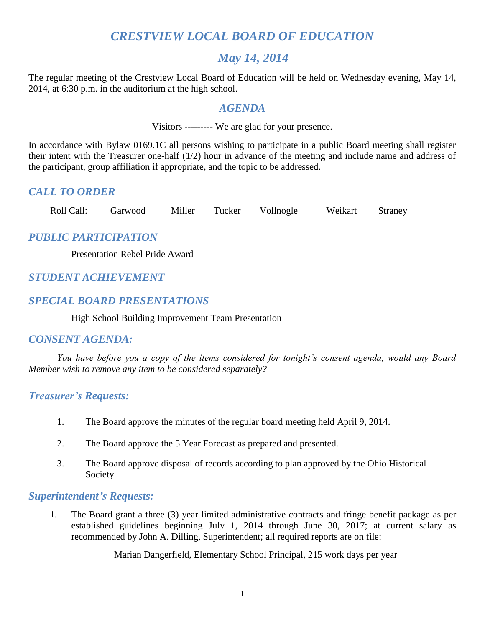# *CRESTVIEW LOCAL BOARD OF EDUCATION*

# *May 14, 2014*

The regular meeting of the Crestview Local Board of Education will be held on Wednesday evening, May 14, 2014, at 6:30 p.m. in the auditorium at the high school.

## *AGENDA*

Visitors --------- We are glad for your presence.

In accordance with Bylaw 0169.1C all persons wishing to participate in a public Board meeting shall register their intent with the Treasurer one-half (1/2) hour in advance of the meeting and include name and address of the participant, group affiliation if appropriate, and the topic to be addressed.

## *CALL TO ORDER*

Roll Call: Garwood Miller Tucker Vollnogle Weikart Straney

# *PUBLIC PARTICIPATION*

Presentation Rebel Pride Award

# *STUDENT ACHIEVEMENT*

# *SPECIAL BOARD PRESENTATIONS*

High School Building Improvement Team Presentation

## *CONSENT AGENDA:*

*You have before you a copy of the items considered for tonight's consent agenda, would any Board Member wish to remove any item to be considered separately?*

## *Treasurer's Requests:*

- 1. The Board approve the minutes of the regular board meeting held April 9, 2014.
- 2. The Board approve the 5 Year Forecast as prepared and presented.
- 3. The Board approve disposal of records according to plan approved by the Ohio Historical Society.

## *Superintendent's Requests:*

1. The Board grant a three (3) year limited administrative contracts and fringe benefit package as per established guidelines beginning July 1, 2014 through June 30, 2017; at current salary as recommended by John A. Dilling, Superintendent; all required reports are on file:

Marian Dangerfield, Elementary School Principal, 215 work days per year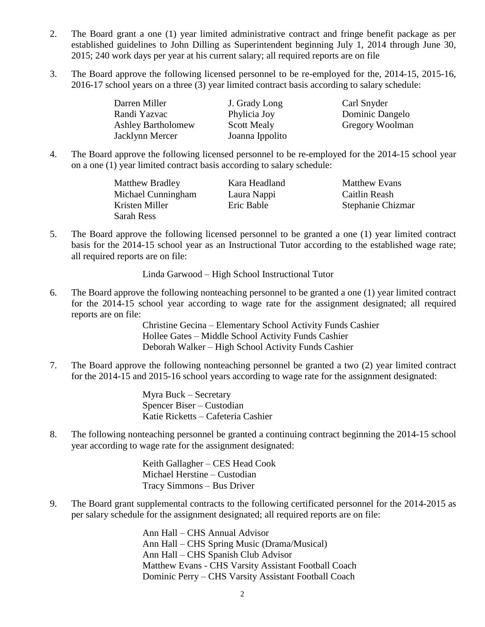- 2. The Board grant a one (1) year limited administrative contract and fringe benefit package as per established guidelines to John Dilling as Superintendent beginning July 1, 2014 through June 30, 2015; 240 work days per year at his current salary; all required reports are on file
- 3. The Board approve the following licensed personnel to be re-employed for the, 2014-15, 2015-16, 2016-17 school years on a three (3) year limited contract basis according to salary schedule:

Darren Miller **J.** Grady Long Carl Snyder Randi Yazvac Phylicia Joy Dominic Dangelo Ashley Bartholomew Scott Mealy Gregory Woolman Jacklynn Mercer Joanna Ippolito

4. The Board approve the following licensed personnel to be re-employed for the 2014-15 school year on a one (1) year limited contract basis according to salary schedule:

| <b>Matthew Bradley</b> | Kara Headland | <b>Matthew Evans</b> |
|------------------------|---------------|----------------------|
| Michael Cunningham     | Laura Nappi   | Caitlin Reash        |
| Kristen Miller         | Eric Bable    | Stephanie Chizmar    |
| Sarah Ress             |               |                      |

5. The Board approve the following licensed personnel to be granted a one (1) year limited contract basis for the 2014-15 school year as an Instructional Tutor according to the established wage rate; all required reports are on file:

Linda Garwood – High School Instructional Tutor

6. The Board approve the following nonteaching personnel to be granted a one (1) year limited contract for the 2014-15 school year according to wage rate for the assignment designated; all required reports are on file:

> Christine Gecina – Elementary School Activity Funds Cashier Hollee Gates – Middle School Activity Funds Cashier Deborah Walker – High School Activity Funds Cashier

7. The Board approve the following nonteaching personnel be granted a two (2) year limited contract for the 2014-15 and 2015-16 school years according to wage rate for the assignment designated:

> Myra Buck – Secretary Spencer Biser – Custodian Katie Ricketts – Cafeteria Cashier

8. The following nonteaching personnel be granted a continuing contract beginning the 2014-15 school year according to wage rate for the assignment designated:

> Keith Gallagher – CES Head Cook Michael Herstine – Custodian Tracy Simmons – Bus Driver

9. The Board grant supplemental contracts to the following certificated personnel for the 2014-2015 as per salary schedule for the assignment designated; all required reports are on file:

> Ann Hall – CHS Annual Advisor Ann Hall – CHS Spring Music (Drama/Musical) Ann Hall – CHS Spanish Club Advisor Matthew Evans - CHS Varsity Assistant Football Coach Dominic Perry – CHS Varsity Assistant Football Coach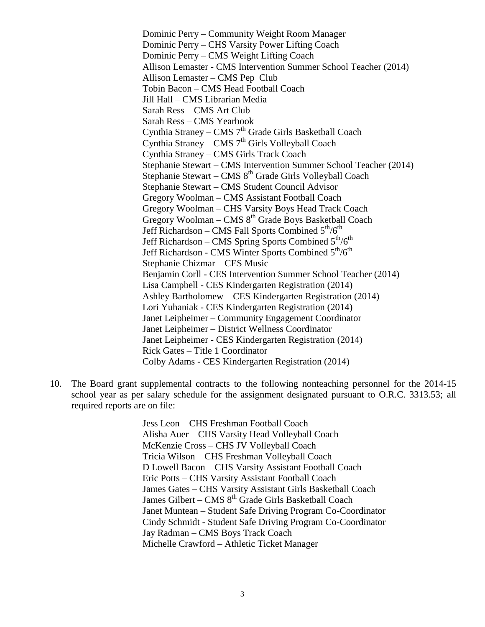Dominic Perry – Community Weight Room Manager Dominic Perry – CHS Varsity Power Lifting Coach Dominic Perry – CMS Weight Lifting Coach Allison Lemaster - CMS Intervention Summer School Teacher (2014) Allison Lemaster – CMS Pep Club Tobin Bacon – CMS Head Football Coach Jill Hall – CMS Librarian Media Sarah Ress – CMS Art Club Sarah Ress – CMS Yearbook Cynthia Straney – CMS $7^{\rm th}$  Grade Girls Basketball Coach Cynthia Straney – CMS 7<sup>th</sup> Girls Volleyball Coach Cynthia Straney – CMS Girls Track Coach Stephanie Stewart – CMS Intervention Summer School Teacher (2014) Stephanie Stewart – CMS 8<sup>th</sup> Grade Girls Volleyball Coach Stephanie Stewart – CMS Student Council Advisor Gregory Woolman – CMS Assistant Football Coach Gregory Woolman – CHS Varsity Boys Head Track Coach Gregory Woolman – CMS  $8<sup>th</sup>$  Grade Boys Basketball Coach Jeff Richardson – CMS Fall Sports Combined  $5<sup>th</sup>/6<sup>th</sup>$ Jeff Richardson – CMS Spring Sports Combined 5<sup>th</sup>/6<sup>th</sup> Jeff Richardson - CMS Winter Sports Combined  $5<sup>th</sup>/6<sup>th</sup>$ Stephanie Chizmar – CES Music Benjamin Corll - CES Intervention Summer School Teacher (2014) Lisa Campbell - CES Kindergarten Registration (2014) Ashley Bartholomew – CES Kindergarten Registration (2014) Lori Yuhaniak - CES Kindergarten Registration (2014) Janet Leipheimer – Community Engagement Coordinator Janet Leipheimer – District Wellness Coordinator Janet Leipheimer - CES Kindergarten Registration (2014) Rick Gates – Title 1 Coordinator Colby Adams - CES Kindergarten Registration (2014)

10. The Board grant supplemental contracts to the following nonteaching personnel for the 2014-15 school year as per salary schedule for the assignment designated pursuant to O.R.C. 3313.53; all required reports are on file:

> Jess Leon – CHS Freshman Football Coach Alisha Auer – CHS Varsity Head Volleyball Coach McKenzie Cross – CHS JV Volleyball Coach Tricia Wilson – CHS Freshman Volleyball Coach D Lowell Bacon – CHS Varsity Assistant Football Coach Eric Potts – CHS Varsity Assistant Football Coach James Gates – CHS Varsity Assistant Girls Basketball Coach James Gilbert – CMS 8<sup>th</sup> Grade Girls Basketball Coach Janet Muntean – Student Safe Driving Program Co-Coordinator Cindy Schmidt - Student Safe Driving Program Co-Coordinator Jay Radman – CMS Boys Track Coach Michelle Crawford – Athletic Ticket Manager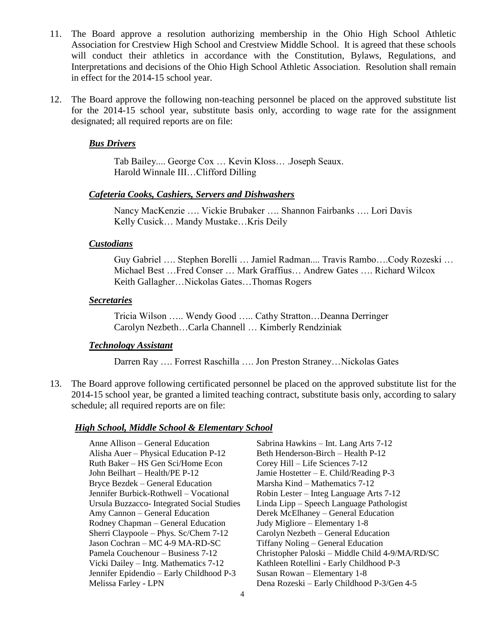- 11. The Board approve a resolution authorizing membership in the Ohio High School Athletic Association for Crestview High School and Crestview Middle School. It is agreed that these schools will conduct their athletics in accordance with the Constitution, Bylaws, Regulations, and Interpretations and decisions of the Ohio High School Athletic Association. Resolution shall remain in effect for the 2014-15 school year.
- 12. The Board approve the following non-teaching personnel be placed on the approved substitute list for the 2014-15 school year, substitute basis only, according to wage rate for the assignment designated; all required reports are on file:

## *Bus Drivers*

Tab Bailey.... George Cox … Kevin Kloss… .Joseph Seaux. Harold Winnale III…Clifford Dilling

## *Cafeteria Cooks, Cashiers, Servers and Dishwashers*

Nancy MacKenzie …. Vickie Brubaker …. Shannon Fairbanks …. Lori Davis Kelly Cusick… Mandy Mustake…Kris Deily

#### *Custodians*

Guy Gabriel …. Stephen Borelli … Jamiel Radman.... Travis Rambo….Cody Rozeski … Michael Best …Fred Conser … Mark Graffius… Andrew Gates …. Richard Wilcox Keith Gallagher…Nickolas Gates…Thomas Rogers

#### *Secretaries*

Tricia Wilson ….. Wendy Good ….. Cathy Stratton…Deanna Derringer Carolyn Nezbeth…Carla Channell … Kimberly Rendziniak

#### *Technology Assistant*

Darren Ray …. Forrest Raschilla …. Jon Preston Straney…Nickolas Gates

13. The Board approve following certificated personnel be placed on the approved substitute list for the 2014-15 school year, be granted a limited teaching contract, substitute basis only, according to salary schedule; all required reports are on file:

## *High School, Middle School & Elementary School*

Anne Allison – General Education Sabrina Hawkins – Int. Lang Arts 7-12 Alisha Auer – Physical Education P-12 Beth Henderson-Birch – Health P-12 Ruth Baker – HS Gen Sci/Home Econ Corey Hill – Life Sciences 7-12 John Beilhart – Health/PE P-12 Jamie Hostetter – E. Child/Reading P-3 Bryce Bezdek – General Education Marsha Kind – Mathematics 7-12 Jennifer Burbick-Rothwell – Vocational Robin Lester – Integ Language Arts 7-12 Amy Cannon – General Education Derek McElhaney – General Education Rodney Chapman – General Education Judy Migliore – Elementary 1-8 Sherri Claypoole – Phys. Sc/Chem 7-12 Carolyn Nezbeth – General Education Jason Cochran – MC 4-9 MA-RD-SC Tiffany Noling – General Education Vicki Dailey – Intg. Mathematics 7-12 Kathleen Rotellini - Early Childhood P-3 Jennifer Epidendio – Early Childhood P-3 Susan Rowan – Elementary 1-8

Ursula Buzzacco- Integrated Social Studies Linda Lipp – Speech Language Pathologist Pamela Couchenour – Business 7-12 Christopher Paloski – Middle Child 4-9/MA/RD/SC Melissa Farley - LPN Dena Rozeski – Early Childhood P-3/Gen 4-5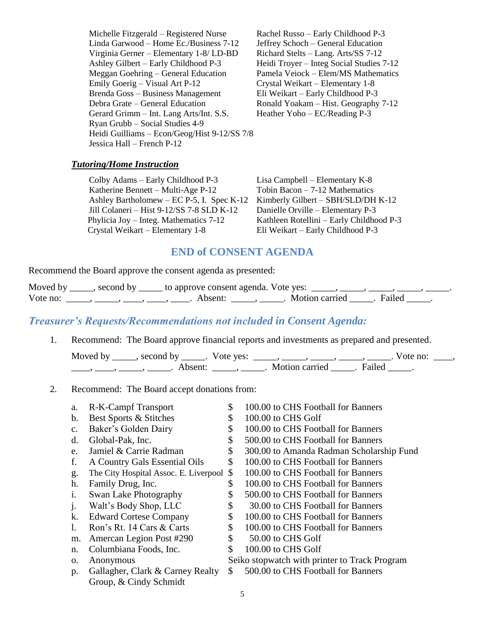Michelle Fitzgerald – Registered Nurse Rachel Russo – Early Childhood P-3 Linda Garwood – Home Ec./Business 7-12 Jeffrey Schoch – General Education Virginia Gerner – Elementary 1-8/ LD-BD Richard Stelts – Lang. Arts/SS 7-12 Ashley Gilbert – Early Childhood P-3 Heidi Troyer – Integ Social Studies 7-12 Meggan Goehring – General Education Pamela Veiock – Elem/MS Mathematics Emily Goerig – Visual Art P-12 Crystal Weikart – Elementary 1-8 Brenda Goss – Business Management Eli Weikart – Early Childhood P-3 Debra Grate – General Education Ronald Yoakam – Hist. Geography 7-12 Gerard Grimm – Int. Lang Arts/Int. S.S. Heather Yoho – EC/Reading P-3 Ryan Grubb – Social Studies 4-9 Heidi Guilliams – Econ/Geog/Hist 9-12/SS 7/8 Jessica Hall – French P-12

## *Tutoring/Home Instruction*

Colby Adams – Early Childhood P-3 Lisa Campbell – Elementary K-8 Katherine Bennett – Multi-Age P-12 Tobin Bacon – 7-12 Mathematics Ashley Bartholomew – EC P-5, I. Spec K-12 Kimberly Gilbert – SBH/SLD/DH K-12 Jill Colaneri – Hist 9-12/SS 7-8 SLD K-12 Danielle Orville – Elementary P-3 Phylicia Joy – Integ. Mathematics 7-12 Kathleen Rotellini – Early Childhood P-3 Crystal Weikart – Elementary 1-8 Eli Weikart – Early Childhood P-3

## **END of CONSENT AGENDA**

Recommend the Board approve the consent agenda as presented:

| Moved by | second by | to approve consent agenda. Vote yes: |                |        |
|----------|-----------|--------------------------------------|----------------|--------|
| Vote no: |           | A hsent:                             | Motion carried | Failed |

## *Treasurer's Requests/Recommendations not included in Consent Agenda:*

1. Recommend: The Board approve financial reports and investments as prepared and presented.

| Moved by | second by second by a | Vote yes: |                |        | vote no: |  |
|----------|-----------------------|-----------|----------------|--------|----------|--|
|          | Absent                |           | Motion carried | Failed |          |  |

#### 2. Recommend: The Board accept donations from:

5 a. R-K-Campf Transport  $$ 100.00$  to CHS Football for Banners b. Best Sports  $\&$  Stitches  $\$$  100.00 to CHS Golf c. Baker's Golden Dairy  $$ 100.00$  to CHS Football for Banners d. Global-Pak, Inc.  $$500.00$  to CHS Football for Banners e. Jamiel & Carrie Radman  $\frac{1}{2}$  300.00 to Amanda Radman Scholarship Fund f. A Country Gals Essential Oils \$ 100.00 to CHS Football for Banners g. The City Hospital Assoc. E. Liverpool \$ 100.00 to CHS Football for Banners h. Family Drug, Inc.  $\qquad$  \$ 100.00 to CHS Football for Banners i. Swan Lake Photography  $$ 500.00$  to CHS Football for Banners j. Walt's Body Shop, LLC  $$ 30.00$  to CHS Football for Banners k. Edward Cortese Company  $$ 100.00$  to CHS Football for Banners 1. Ron's Rt. 14 Cars & Carts \$ 100.00 to CHS Football for Banners m. Amercan Legion Post #290 \$ 50.00 to CHS Golf n. Columbiana Foods, Inc.  $\qquad$  \$ 100.00 to CHS Golf o. Anonymous Seiko stopwatch with printer to Track Program p. Gallagher, Clark & Carney Realty \$ 500.00 to CHS Football for Banners Group, & Cindy Schmidt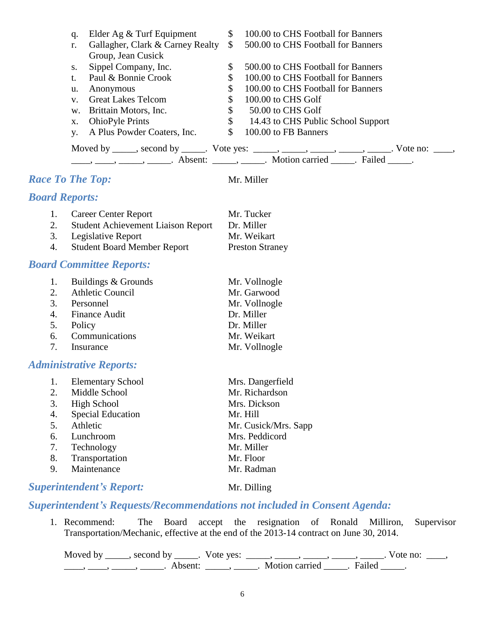|                       | Elder Ag & Turf Equipment<br>q.            | $\mathbb{S}$                     | 100.00 to CHS Football for Banners                                                                                                                                                                                                                                                                                                                                                                                          |  |
|-----------------------|--------------------------------------------|----------------------------------|-----------------------------------------------------------------------------------------------------------------------------------------------------------------------------------------------------------------------------------------------------------------------------------------------------------------------------------------------------------------------------------------------------------------------------|--|
|                       | r.                                         | Gallagher, Clark & Carney Realty | $\mathbb{S}$<br>500.00 to CHS Football for Banners                                                                                                                                                                                                                                                                                                                                                                          |  |
|                       | Group, Jean Cusick                         |                                  |                                                                                                                                                                                                                                                                                                                                                                                                                             |  |
|                       | Sippel Company, Inc.<br>S.                 | \$                               | 500.00 to CHS Football for Banners                                                                                                                                                                                                                                                                                                                                                                                          |  |
|                       | Paul & Bonnie Crook<br>$t_{-}$             | \$                               | 100.00 to CHS Football for Banners                                                                                                                                                                                                                                                                                                                                                                                          |  |
|                       | Anonymous<br>u.                            | \$                               | 100.00 to CHS Football for Banners                                                                                                                                                                                                                                                                                                                                                                                          |  |
|                       | <b>Great Lakes Telcom</b><br>$V_{\bullet}$ | \$                               | 100.00 to CHS Golf                                                                                                                                                                                                                                                                                                                                                                                                          |  |
|                       | Brittain Motors, Inc.<br>W.                | \$                               | 50.00 to CHS Golf                                                                                                                                                                                                                                                                                                                                                                                                           |  |
|                       | <b>OhioPyle Prints</b><br>X.               | \$                               | 14.43 to CHS Public School Support                                                                                                                                                                                                                                                                                                                                                                                          |  |
|                       | A Plus Powder Coaters, Inc.<br>y.          | $\mathcal{S}$                    | 100.00 to FB Banners                                                                                                                                                                                                                                                                                                                                                                                                        |  |
|                       |                                            |                                  |                                                                                                                                                                                                                                                                                                                                                                                                                             |  |
|                       |                                            |                                  | Moved by _____, second by _____. Vote yes: _____, _____, _____, _____, _____. Vote no: ____,                                                                                                                                                                                                                                                                                                                                |  |
|                       |                                            |                                  | $\frac{1}{1}, \frac{1}{1}, \frac{1}{1}, \frac{1}{1}, \frac{1}{1}, \frac{1}{1}, \frac{1}{1}, \frac{1}{1}, \frac{1}{1}, \frac{1}{1}, \frac{1}{1}, \frac{1}{1}, \frac{1}{1}, \frac{1}{1}, \frac{1}{1}, \frac{1}{1}, \frac{1}{1}, \frac{1}{1}, \frac{1}{1}, \frac{1}{1}, \frac{1}{1}, \frac{1}{1}, \frac{1}{1}, \frac{1}{1}, \frac{1}{1}, \frac{1}{1}, \frac{1}{1}, \frac{1}{1}, \frac{1}{1}, \frac{1}{1}, \frac{1}{1}, \frac{$ |  |
|                       | <b>Race To The Top:</b>                    |                                  | Mr. Miller                                                                                                                                                                                                                                                                                                                                                                                                                  |  |
|                       |                                            |                                  |                                                                                                                                                                                                                                                                                                                                                                                                                             |  |
| <b>Board Reports:</b> |                                            |                                  |                                                                                                                                                                                                                                                                                                                                                                                                                             |  |
| 1.                    | <b>Career Center Report</b>                |                                  | Mr. Tucker                                                                                                                                                                                                                                                                                                                                                                                                                  |  |
| 2.                    | <b>Student Achievement Liaison Report</b>  |                                  | Dr. Miller                                                                                                                                                                                                                                                                                                                                                                                                                  |  |
| 3.                    | Legislative Report                         |                                  | Mr. Weikart                                                                                                                                                                                                                                                                                                                                                                                                                 |  |
| 4.                    | <b>Student Board Member Report</b>         |                                  | <b>Preston Straney</b>                                                                                                                                                                                                                                                                                                                                                                                                      |  |
|                       |                                            |                                  |                                                                                                                                                                                                                                                                                                                                                                                                                             |  |
|                       | <b>Board Committee Reports:</b>            |                                  |                                                                                                                                                                                                                                                                                                                                                                                                                             |  |
| 1.                    | Buildings & Grounds                        |                                  | Mr. Vollnogle                                                                                                                                                                                                                                                                                                                                                                                                               |  |
| 2.                    | Athletic Council                           |                                  | Mr. Garwood                                                                                                                                                                                                                                                                                                                                                                                                                 |  |
| 3.                    | Personnel                                  |                                  | Mr. Vollnogle                                                                                                                                                                                                                                                                                                                                                                                                               |  |
| 4.                    | Finance Audit                              |                                  | Dr. Miller                                                                                                                                                                                                                                                                                                                                                                                                                  |  |

- 5. Policy Dr. Miller
- 6. Communications Mr. Weikart
- 7. Insurance Mr. Vollnogle

## *Administrative Reports:*

|    | <b>Elementary School</b> | Mrs. Dangerfield     |
|----|--------------------------|----------------------|
| 2. | Middle School            | Mr. Richardson       |
| 3. | High School              | Mrs. Dickson         |
| 4. | <b>Special Education</b> | Mr. Hill             |
| 5. | Athletic                 | Mr. Cusick/Mrs. Sapp |
| 6. | Lunchroom                | Mrs. Peddicord       |
| 7. | Technology               | Mr. Miller           |
| 8. | Transportation           | Mr. Floor            |
| 9. | Maintenance              | Mr. Radman           |
|    |                          |                      |

## **Superintendent's Report:** Mr. Dilling

# *Superintendent's Requests/Recommendations not included in Consent Agenda:*

1. Recommend: The Board accept the resignation of Ronald Milliron, Supervisor Transportation/Mechanic, effective at the end of the 2013-14 contract on June 30, 2014.

Moved by \_\_\_\_\_, second by \_\_\_\_\_. Vote yes:  $\_\_\_\_\_\_\_\_\_\_\_\_\_\_\_$  \_\_\_\_\_, \_\_\_\_\_, \_\_\_\_\_. Vote no:  $\_\_\_\_\_\_\$ \_\_\_\_\_, \_\_\_\_\_\_, \_\_\_\_\_\_\_. Absent: \_\_\_\_\_\_, \_\_\_\_\_\_. Motion carried \_\_\_\_\_\_. Failed \_\_\_\_\_.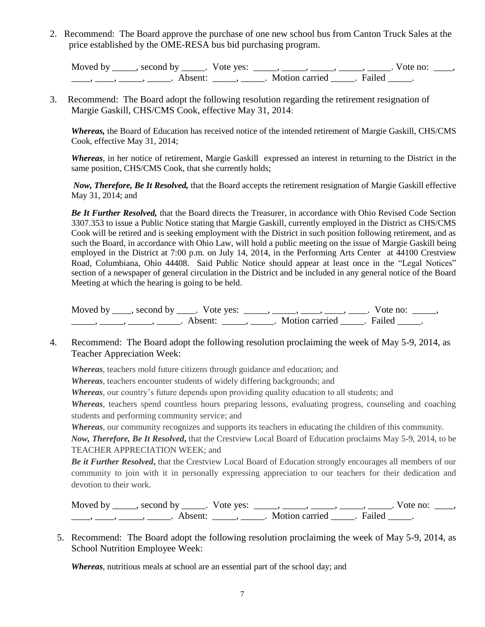2. Recommend: The Board approve the purchase of one new school bus from Canton Truck Sales at the price established by the OME-RESA bus bid purchasing program.

Moved by \_\_\_\_\_, second by \_\_\_\_\_. Vote yes:  $\_\_\_\_\_\_\_\_\_\_\_\_\_\_\_$  \_\_\_\_\_, \_\_\_\_\_, \_\_\_\_\_. Vote no:  $\_\_\_\_\_\_\$ \_\_\_\_\_, \_\_\_\_\_\_, \_\_\_\_\_\_\_. Absent: \_\_\_\_\_\_, \_\_\_\_\_\_. Motion carried \_\_\_\_\_\_. Failed \_\_\_\_\_.

3. Recommend: The Board adopt the following resolution regarding the retirement resignation of Margie Gaskill, CHS/CMS Cook, effective May 31, 2014:

*Whereas,* the Board of Education has received notice of the intended retirement of Margie Gaskill, CHS/CMS Cook, effective May 31, 2014;

*Whereas*, in her notice of retirement, Margie Gaskill expressed an interest in returning to the District in the same position, CHS/CMS Cook, that she currently holds;

*Now, Therefore, Be It Resolved,* that the Board accepts the retirement resignation of Margie Gaskill effective May 31, 2014; and

*Be It Further Resolved,* that the Board directs the Treasurer, in accordance with Ohio Revised Code Section 3307.353 to issue a Public Notice stating that Margie Gaskill, currently employed in the District as CHS/CMS Cook will be retired and is seeking employment with the District in such position following retirement, and as such the Board, in accordance with Ohio Law, will hold a public meeting on the issue of Margie Gaskill being employed in the District at 7:00 p.m. on July 14, 2014, in the Performing Arts Center at 44100 Crestview Road, Columbiana, Ohio 44408. Said Public Notice should appear at least once in the "Legal Notices" section of a newspaper of general circulation in the District and be included in any general notice of the Board Meeting at which the hearing is going to be held.

Moved by  $\_\_\_\_$ , second by  $\_\_\_\_$ . Vote yes:  $\_\_\_\_\_\_\_\_\_\_\_\_\_$ ,  $\_\_\_\_\_\_\_\_\_\_\_\_\_\_\_\_\_\_\_\_\_\_$  Vote no:  $\_\_\_\_\_\_\_$ \_\_\_\_\_\_\_, \_\_\_\_\_\_, \_\_\_\_\_\_\_. Absent: \_\_\_\_\_\_, \_\_\_\_\_\_. Motion carried \_\_\_\_\_\_. Failed \_\_\_\_\_.

4. Recommend: The Board adopt the following resolution proclaiming the week of May 5-9, 2014, as Teacher Appreciation Week:

*Whereas*, teachers mold future citizens through guidance and education; and

*Whereas*, teachers encounter students of widely differing backgrounds; and

*Whereas,* our country's future depends upon providing quality education to all students; and

*Whereas*, teachers spend countless hours preparing lessons, evaluating progress, counseling and coaching students and performing community service; and

*Whereas*, our community recognizes and supports its teachers in educating the children of this community.

*Now, Therefore, Be It Resolved***,** that the Crestview Local Board of Education proclaims May 5-9, 2014, to be TEACHER APPRECIATION WEEK; and

*Be it Further Resolved***,** that the Crestview Local Board of Education strongly encourages all members of our community to join with it in personally expressing appreciation to our teachers for their dedication and devotion to their work.

Moved by \_\_\_\_\_, second by \_\_\_\_\_. Vote yes:  $\frac{1}{\sqrt{2}}$ , \_\_\_\_, \_\_\_\_, \_\_\_\_, \_\_\_\_. Vote no: \_\_\_, \_\_\_\_\_, \_\_\_\_\_\_, \_\_\_\_\_\_\_. Absent: \_\_\_\_\_\_, \_\_\_\_\_\_. Motion carried \_\_\_\_\_\_. Failed \_\_\_\_\_.

5. Recommend: The Board adopt the following resolution proclaiming the week of May 5-9, 2014, as School Nutrition Employee Week:

*Whereas*, nutritious meals at school are an essential part of the school day; and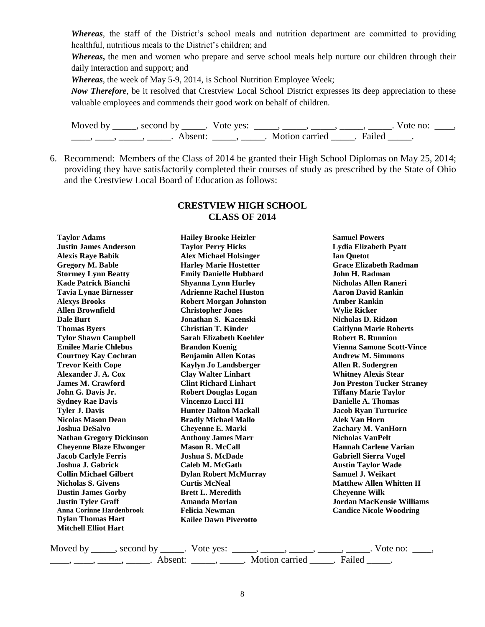*Whereas,* the staff of the District's school meals and nutrition department are committed to providing healthful, nutritious meals to the District's children; and

*Whereas***,** the men and women who prepare and serve school meals help nurture our children through their daily interaction and support; and

*Whereas*, the week of May 5-9, 2014, is School Nutrition Employee Week;

*Now Therefore,* be it resolved that Crestview Local School District expresses its deep appreciation to these valuable employees and commends their good work on behalf of children.

Moved by \_\_\_\_\_, second by \_\_\_\_\_. Vote yes:  $\_\_\_\_\_\_\_\_\_\_\_\_\_\_\_\_\_\_\_$  \_\_\_\_, \_\_\_\_, \_\_\_\_. Vote no:  $\_\_\_\_\_\$ \_\_\_\_\_, \_\_\_\_\_\_, \_\_\_\_\_\_\_. Absent: \_\_\_\_\_\_, \_\_\_\_\_\_. Motion carried \_\_\_\_\_\_. Failed \_\_\_\_\_.

6. Recommend: Members of the Class of 2014 be granted their High School Diplomas on May 25, 2014; providing they have satisfactorily completed their courses of study as prescribed by the State of Ohio and the Crestview Local Board of Education as follows:

| <b>Taylor Adams</b>             | <b>Hailey Brooke Heizler</b>  | <b>Samuel Powers</b>              |
|---------------------------------|-------------------------------|-----------------------------------|
| <b>Justin James Anderson</b>    | <b>Taylor Perry Hicks</b>     | Lydia Elizabeth Pyatt             |
| <b>Alexis Raye Babik</b>        | <b>Alex Michael Holsinger</b> | <b>Ian Quetot</b>                 |
| <b>Gregory M. Bable</b>         | <b>Harley Marie Hostetter</b> | <b>Grace Elizabeth Radman</b>     |
| <b>Stormey Lynn Beatty</b>      | <b>Emily Danielle Hubbard</b> | John H. Radman                    |
| <b>Kade Patrick Bianchi</b>     | <b>Shyanna Lynn Hurley</b>    | Nicholas Allen Raneri             |
| <b>Tavia Lynae Birnesser</b>    | <b>Adrienne Rachel Huston</b> | <b>Aaron David Rankin</b>         |
| <b>Alexys Brooks</b>            | <b>Robert Morgan Johnston</b> | <b>Amber Rankin</b>               |
| <b>Allen Brownfield</b>         | <b>Christopher Jones</b>      | <b>Wylie Ricker</b>               |
| Dale Burt                       | Jonathan S. Kacenski          | <b>Nicholas D. Ridzon</b>         |
| <b>Thomas Byers</b>             | <b>Christian T. Kinder</b>    | <b>Caitlynn Marie Roberts</b>     |
| <b>Tylor Shawn Campbell</b>     | Sarah Elizabeth Koehler       | <b>Robert B. Runnion</b>          |
| <b>Emilee Marie Chlebus</b>     | <b>Brandon Koenig</b>         | <b>Vienna Samone Scott-Vince</b>  |
| <b>Courtney Kay Cochran</b>     | <b>Benjamin Allen Kotas</b>   | <b>Andrew M. Simmons</b>          |
| <b>Trevor Keith Cope</b>        | <b>Kaylyn Jo Landsberger</b>  | Allen R. Sodergren                |
| Alexander J. A. Cox             | <b>Clay Walter Linhart</b>    | <b>Whitney Alexis Stear</b>       |
| <b>James M. Crawford</b>        | <b>Clint Richard Linhart</b>  | <b>Jon Preston Tucker Straney</b> |
| John G. Davis Jr.               | <b>Robert Douglas Logan</b>   | <b>Tiffany Marie Taylor</b>       |
| <b>Sydney Rae Davis</b>         | <b>Vincenzo Lucci III</b>     | Danielle A. Thomas                |
| <b>Tyler J. Davis</b>           | <b>Hunter Dalton Mackall</b>  | <b>Jacob Ryan Turturice</b>       |
| <b>Nicolas Mason Dean</b>       | <b>Bradly Michael Mallo</b>   | <b>Alek Van Horn</b>              |
| <b>Joshua DeSalvo</b>           | <b>Cheyenne E. Marki</b>      | Zachary M. VanHorn                |
| <b>Nathan Gregory Dickinson</b> | <b>Anthony James Marr</b>     | <b>Nicholas VanPelt</b>           |
| <b>Cheyenne Blaze Elwonger</b>  | <b>Mason R. McCall</b>        | <b>Hannah Carlene Varian</b>      |
| <b>Jacob Carlyle Ferris</b>     | Joshua S. McDade              | <b>Gabriell Sierra Vogel</b>      |
| Joshua J. Gabrick               | Caleb M. McGath               | <b>Austin Taylor Wade</b>         |
| <b>Collin Michael Gilbert</b>   | <b>Dylan Robert McMurray</b>  | <b>Samuel J. Weikart</b>          |
| <b>Nicholas S. Givens</b>       | <b>Curtis McNeal</b>          | <b>Matthew Allen Whitten II</b>   |
| <b>Dustin James Gorby</b>       | <b>Brett L. Meredith</b>      | <b>Cheyenne Wilk</b>              |
| <b>Justin Tyler Graff</b>       | Amanda Morlan                 | <b>Jordan MacKensie Williams</b>  |
| <b>Anna Corinne Hardenbrook</b> | <b>Felicia Newman</b>         | <b>Candice Nicole Woodring</b>    |
| <b>Dylan Thomas Hart</b>        | <b>Kailee Dawn Piverotto</b>  |                                   |
| <b>Mitchell Elliot Hart</b>     |                               |                                   |

## **CRESTVIEW HIGH SCHOOL CLASS OF 2014**

Moved by \_\_\_\_\_, second by \_\_\_\_\_. Vote yes: \_\_\_\_\_, \_\_\_\_\_, \_\_\_\_\_, \_\_\_\_\_, \_\_\_\_\_. Vote no: \_\_\_\_, \_\_\_\_, \_\_\_\_, \_\_\_\_\_, Absent: \_\_\_\_\_, \_\_\_\_\_. Motion carried \_\_\_\_\_. Failed \_\_\_\_\_.